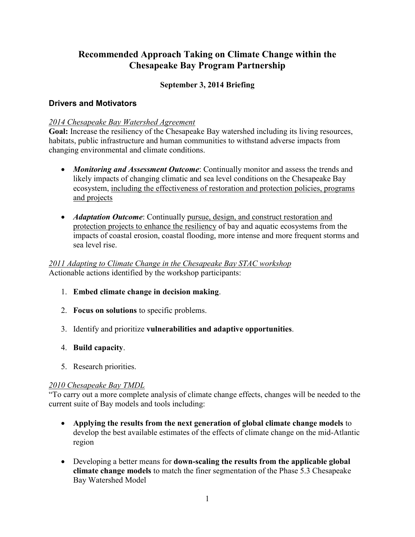# **Recommended Approach Taking on Climate Change within the Chesapeake Bay Program Partnership**

### **September 3, 2014 Briefing**

#### **Drivers and Motivators**

#### *2014 Chesapeake Bay Watershed Agreement*

**Goal:** Increase the resiliency of the Chesapeake Bay watershed including its living resources, habitats, public infrastructure and human communities to withstand adverse impacts from changing environmental and climate conditions.

- *Monitoring and Assessment Outcome*: Continually monitor and assess the trends and likely impacts of changing climatic and sea level conditions on the Chesapeake Bay ecosystem, including the effectiveness of restoration and protection policies, programs and projects
- *Adaptation Outcome*: Continually pursue, design, and construct restoration and protection projects to enhance the resiliency of bay and aquatic ecosystems from the impacts of coastal erosion, coastal flooding, more intense and more frequent storms and sea level rise.

*2011 Adapting to Climate Change in the Chesapeake Bay STAC workshop*  Actionable actions identified by the workshop participants:

- 1. **Embed climate change in decision making**.
- 2. **Focus on solutions** to specific problems.
- 3. Identify and prioritize **vulnerabilities and adaptive opportunities**.
- 4. **Build capacity**.
- 5. Research priorities.

#### *2010 Chesapeake Bay TMDL*

"To carry out a more complete analysis of climate change effects, changes will be needed to the current suite of Bay models and tools including:

- **Applying the results from the next generation of global climate change models** to develop the best available estimates of the effects of climate change on the mid-Atlantic region
- Developing a better means for **down-scaling the results from the applicable global climate change models** to match the finer segmentation of the Phase 5.3 Chesapeake Bay Watershed Model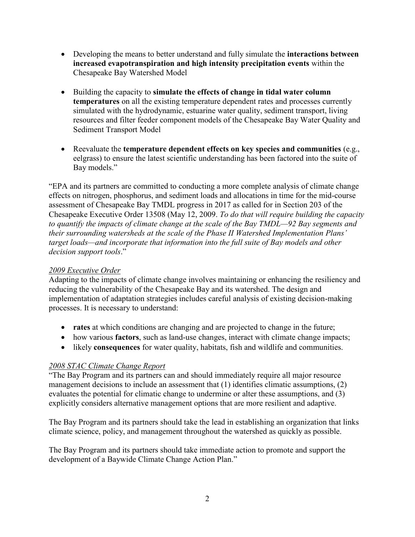- Developing the means to better understand and fully simulate the **interactions between increased evapotranspiration and high intensity precipitation events** within the Chesapeake Bay Watershed Model
- Building the capacity to **simulate the effects of change in tidal water column temperatures** on all the existing temperature dependent rates and processes currently simulated with the hydrodynamic, estuarine water quality, sediment transport, living resources and filter feeder component models of the Chesapeake Bay Water Quality and Sediment Transport Model
- Reevaluate the **temperature dependent effects on key species and communities** (e.g., eelgrass) to ensure the latest scientific understanding has been factored into the suite of Bay models."

"EPA and its partners are committed to conducting a more complete analysis of climate change effects on nitrogen, phosphorus, and sediment loads and allocations in time for the mid-course assessment of Chesapeake Bay TMDL progress in 2017 as called for in Section 203 of the Chesapeake Executive Order 13508 (May 12, 2009. *To do that will require building the capacity to quantify the impacts of climate change at the scale of the Bay TMDL—92 Bay segments and their surrounding watersheds at the scale of the Phase II Watershed Implementation Plans' target loads—and incorporate that information into the full suite of Bay models and other decision support tools*."

#### *2009 Executive Order*

Adapting to the impacts of climate change involves maintaining or enhancing the resiliency and reducing the vulnerability of the Chesapeake Bay and its watershed. The design and implementation of adaptation strategies includes careful analysis of existing decision-making processes. It is necessary to understand:

- **rates** at which conditions are changing and are projected to change in the future;
- how various **factors**, such as land-use changes, interact with climate change impacts;
- likely **consequences** for water quality, habitats, fish and wildlife and communities.

### *2008 STAC Climate Change Report*

"The Bay Program and its partners can and should immediately require all major resource management decisions to include an assessment that (1) identifies climatic assumptions, (2) evaluates the potential for climatic change to undermine or alter these assumptions, and (3) explicitly considers alternative management options that are more resilient and adaptive.

The Bay Program and its partners should take the lead in establishing an organization that links climate science, policy, and management throughout the watershed as quickly as possible.

The Bay Program and its partners should take immediate action to promote and support the development of a Baywide Climate Change Action Plan."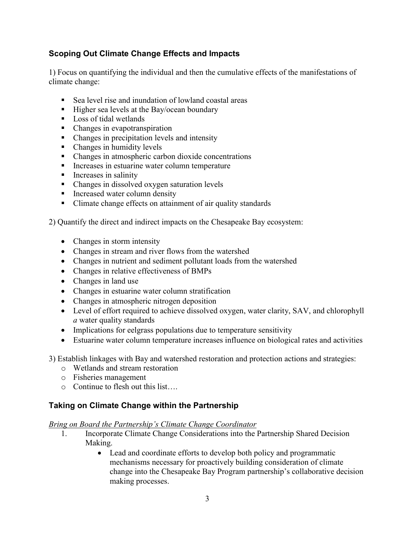## **Scoping Out Climate Change Effects and Impacts**

1) Focus on quantifying the individual and then the cumulative effects of the manifestations of climate change:

- Sea level rise and inundation of lowland coastal areas
- $\blacksquare$  Higher sea levels at the Bay/ocean boundary
- Loss of tidal wetlands
- Changes in evapotranspiration
- Changes in precipitation levels and intensity
- Changes in humidity levels
- Changes in atmospheric carbon dioxide concentrations
- Increases in estuarine water column temperature
- **Increases in salinity**
- Changes in dissolved oxygen saturation levels
- **Increased water column density**
- Climate change effects on attainment of air quality standards

2) Quantify the direct and indirect impacts on the Chesapeake Bay ecosystem:

- Changes in storm intensity
- Changes in stream and river flows from the watershed
- Changes in nutrient and sediment pollutant loads from the watershed
- Changes in relative effectiveness of BMPs
- Changes in land use
- Changes in estuarine water column stratification
- Changes in atmospheric nitrogen deposition
- Level of effort required to achieve dissolved oxygen, water clarity, SAV, and chlorophyll *a* water quality standards
- Implications for eelgrass populations due to temperature sensitivity
- Estuarine water column temperature increases influence on biological rates and activities

3) Establish linkages with Bay and watershed restoration and protection actions and strategies:

- o Wetlands and stream restoration
- o Fisheries management
- $\circ$  Continue to flesh out this list

### **Taking on Climate Change within the Partnership**

*Bring on Board the Partnership's Climate Change Coordinator*

- 1. Incorporate Climate Change Considerations into the Partnership Shared Decision Making.
	- Lead and coordinate efforts to develop both policy and programmatic mechanisms necessary for proactively building consideration of climate change into the Chesapeake Bay Program partnership's collaborative decision making processes.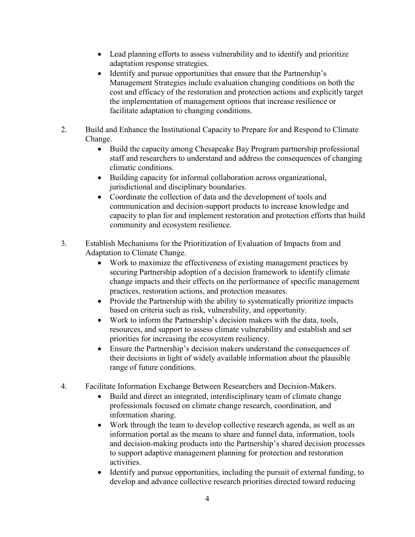- Lead planning efforts to assess vulnerability and to identify and prioritize adaptation response strategies.
- Identify and pursue opportunities that ensure that the Partnership's Management Strategies include evaluation changing conditions on both the cost and efficacy of the restoration and protection actions and explicitly target the implementation of management options that increase resilience or facilitate adaptation to changing conditions.
- 2. Build and Enhance the Institutional Capacity to Prepare for and Respond to Climate Change.
	- Build the capacity among Chesapeake Bay Program partnership professional staff and researchers to understand and address the consequences of changing climatic conditions.
	- Building capacity for informal collaboration across organizational, jurisdictional and disciplinary boundaries.
	- Coordinate the collection of data and the development of tools and communication and decision-support products to increase knowledge and capacity to plan for and implement restoration and protection efforts that build community and ecosystem resilience.
- 3. Establish Mechanisms for the Prioritization of Evaluation of Impacts from and Adaptation to Climate Change.
	- Work to maximize the effectiveness of existing management practices by securing Partnership adoption of a decision framework to identify climate change impacts and their effects on the performance of specific management practices, restoration actions, and protection measures.
	- Provide the Partnership with the ability to systematically prioritize impacts based on criteria such as risk, vulnerability, and opportunity.
	- Work to inform the Partnership's decision makers with the data, tools, resources, and support to assess climate vulnerability and establish and set priorities for increasing the ecosystem resiliency.
	- Ensure the Partnership's decision makers understand the consequences of their decisions in light of widely available information about the plausible range of future conditions.
- 4. Facilitate Information Exchange Between Researchers and Decision-Makers.
	- Build and direct an integrated, interdisciplinary team of climate change professionals focused on climate change research, coordination, and information sharing.
	- Work through the team to develop collective research agenda, as well as an information portal as the means to share and funnel data, information, tools and decision-making products into the Partnership's shared decision processes to support adaptive management planning for protection and restoration activities.
	- Identify and pursue opportunities, including the pursuit of external funding, to develop and advance collective research priorities directed toward reducing